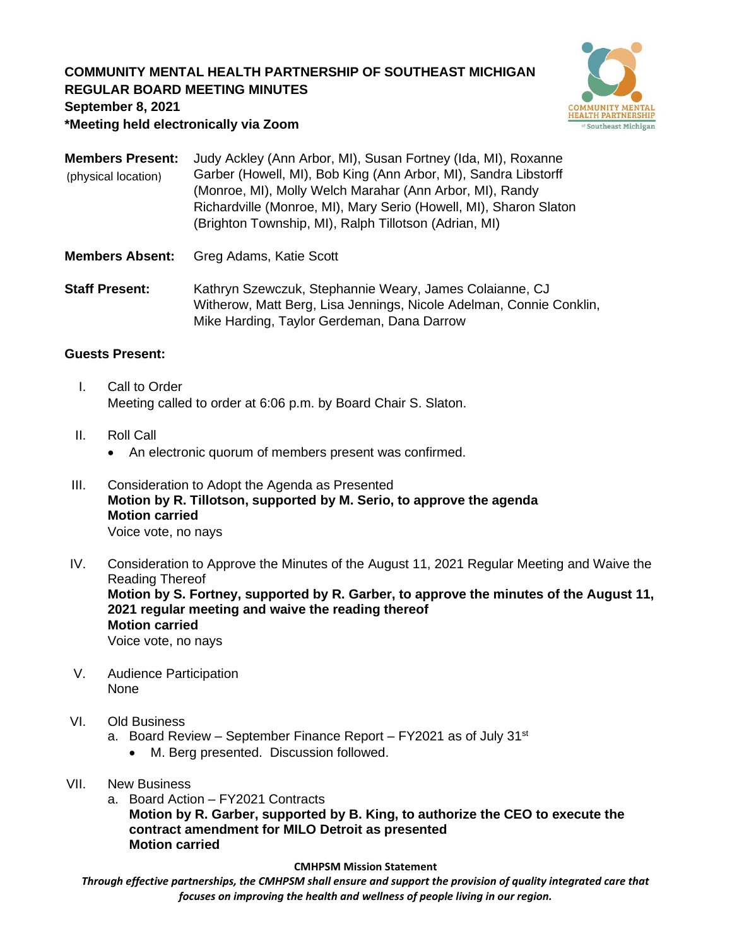# **COMMUNITY MENTAL HEALTH PARTNERSHIP OF SOUTHEAST MICHIGAN REGULAR BOARD MEETING MINUTES**



**September 8, 2021**

**\*Meeting held electronically via Zoom**

**Members Present:** Judy Ackley (Ann Arbor, MI), Susan Fortney (Ida, MI), Roxanne Garber (Howell, MI), Bob King (Ann Arbor, MI), Sandra Libstorff (Monroe, MI), Molly Welch Marahar (Ann Arbor, MI), Randy Richardville (Monroe, MI), Mary Serio (Howell, MI), Sharon Slaton (Brighton Township, MI), Ralph Tillotson (Adrian, MI) (physical location)

- **Members Absent:** Greg Adams, Katie Scott
- **Staff Present:** Kathryn Szewczuk, Stephannie Weary, James Colaianne, CJ Witherow, Matt Berg, Lisa Jennings, Nicole Adelman, Connie Conklin, Mike Harding, Taylor Gerdeman, Dana Darrow

## **Guests Present:**

- I. Call to Order Meeting called to order at 6:06 p.m. by Board Chair S. Slaton.
- II. Roll Call
	- An electronic quorum of members present was confirmed.
- III. Consideration to Adopt the Agenda as Presented **Motion by R. Tillotson, supported by M. Serio, to approve the agenda Motion carried** Voice vote, no nays
- IV. Consideration to Approve the Minutes of the August 11, 2021 Regular Meeting and Waive the Reading Thereof **Motion by S. Fortney, supported by R. Garber, to approve the minutes of the August 11, 2021 regular meeting and waive the reading thereof Motion carried** Voice vote, no nays
- V. Audience Participation None
- VI. Old Business
	- a. Board Review September Finance Report FY2021 as of July  $31<sup>st</sup>$ 
		- M. Berg presented. Discussion followed.
- VII. New Business
	- a. Board Action FY2021 Contracts **Motion by R. Garber, supported by B. King, to authorize the CEO to execute the contract amendment for MILO Detroit as presented Motion carried**

#### **CMHPSM Mission Statement**

*Through effective partnerships, the CMHPSM shall ensure and support the provision of quality integrated care that focuses on improving the health and wellness of people living in our region.*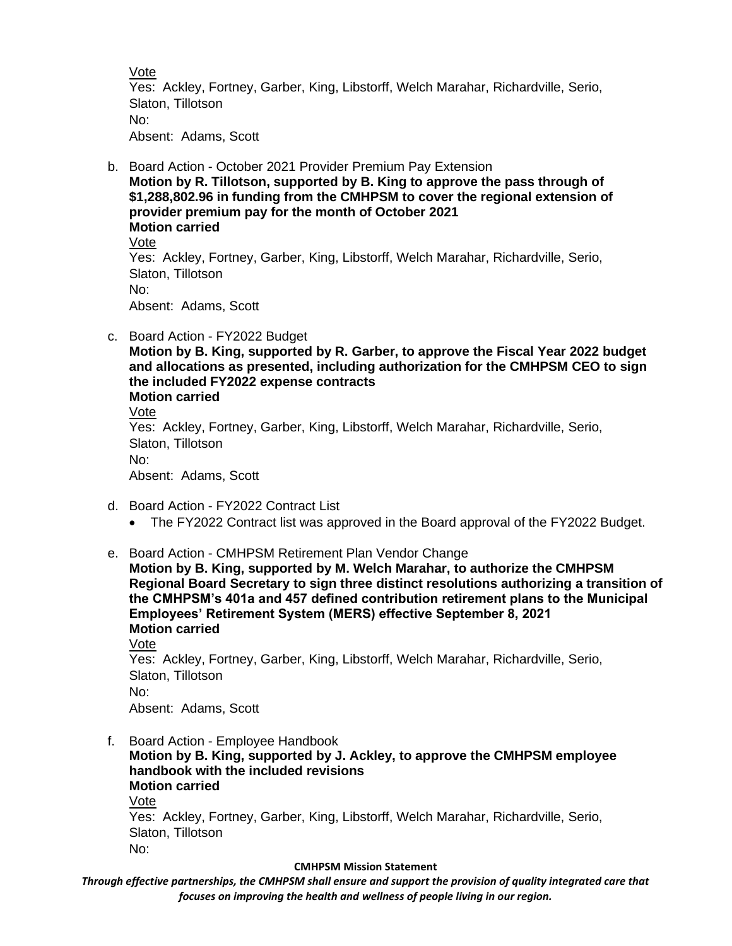Vote

Yes: Ackley, Fortney, Garber, King, Libstorff, Welch Marahar, Richardville, Serio, Slaton, Tillotson No: Absent: Adams, Scott

b. Board Action - October 2021 Provider Premium Pay Extension **Motion by R. Tillotson, supported by B. King to approve the pass through of \$1,288,802.96 in funding from the CMHPSM to cover the regional extension of provider premium pay for the month of October 2021 Motion carried**

Vote Yes: Ackley, Fortney, Garber, King, Libstorff, Welch Marahar, Richardville, Serio, Slaton, Tillotson No: Absent: Adams, Scott

- c. Board Action FY2022 Budget
	- **Motion by B. King, supported by R. Garber, to approve the Fiscal Year 2022 budget and allocations as presented, including authorization for the CMHPSM CEO to sign the included FY2022 expense contracts Motion carried**

Vote

Yes: Ackley, Fortney, Garber, King, Libstorff, Welch Marahar, Richardville, Serio, Slaton, Tillotson No:

Absent: Adams, Scott

- d. Board Action FY2022 Contract List
	- The FY2022 Contract list was approved in the Board approval of the FY2022 Budget.
- e. Board Action CMHPSM Retirement Plan Vendor Change

**Motion by B. King, supported by M. Welch Marahar, to authorize the CMHPSM Regional Board Secretary to sign three distinct resolutions authorizing a transition of the CMHPSM's 401a and 457 defined contribution retirement plans to the Municipal Employees' Retirement System (MERS) effective September 8, 2021 Motion carried** Vote

Yes: Ackley, Fortney, Garber, King, Libstorff, Welch Marahar, Richardville, Serio, Slaton, Tillotson No:

Absent: Adams, Scott

f. Board Action - Employee Handbook **Motion by B. King, supported by J. Ackley, to approve the CMHPSM employee handbook with the included revisions Motion carried** Vote Yes: Ackley, Fortney, Garber, King, Libstorff, Welch Marahar, Richardville, Serio, Slaton, Tillotson No:

#### **CMHPSM Mission Statement**

*Through effective partnerships, the CMHPSM shall ensure and support the provision of quality integrated care that focuses on improving the health and wellness of people living in our region.*